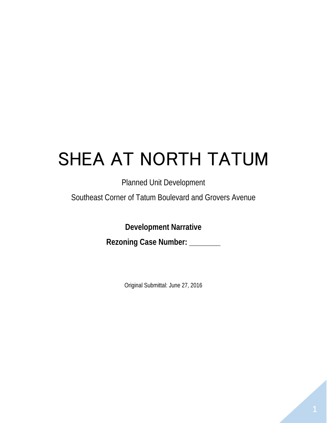# SHEA AT NORTH TATUM

# Planned Unit Development

Southeast Corner of Tatum Boulevard and Grovers Avenue

**Development Narrative**

**Rezoning Case Number: \_\_\_\_\_\_\_\_**

Original Submittal: June 27, 2016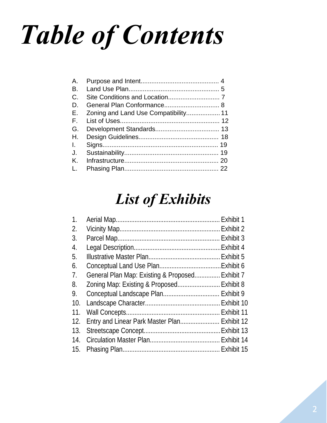# *Table of Contents*

| Α.           |  |
|--------------|--|
| B.           |  |
| $C_{\cdot}$  |  |
| D.           |  |
| Ε.           |  |
| $F_{\rm{H}}$ |  |
| G.           |  |
| Η.           |  |
| $\mathbf{L}$ |  |
| J.           |  |
| Κ.           |  |
| L.           |  |
|              |  |

# *List of Exhibits*

| 1.               |                                                 |  |
|------------------|-------------------------------------------------|--|
| 2.               |                                                 |  |
| 3.               |                                                 |  |
| $\overline{4}$ . |                                                 |  |
| 5.               |                                                 |  |
| 6.               |                                                 |  |
| 7 <sub>1</sub>   | General Plan Map: Existing & Proposed Exhibit 7 |  |
| 8.               | Zoning Map: Existing & Proposed Exhibit 8       |  |
| 9.               |                                                 |  |
| 10.              |                                                 |  |
| 11.              |                                                 |  |
| 12.              | Entry and Linear Park Master Plan Exhibit 12    |  |
| 13.              |                                                 |  |
| 14.              |                                                 |  |
| 15.              |                                                 |  |
|                  |                                                 |  |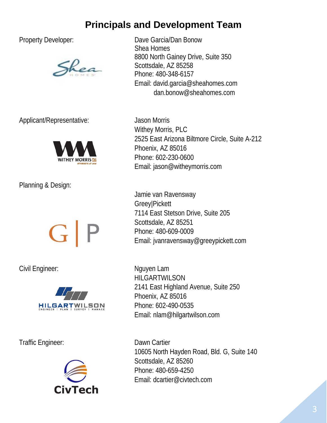# **Principals and Development Team**



Applicant/Representative: Jason Morris



Planning & Design:



Civil Engineer: Nguyen Lam



Traffic Engineer: Dawn Cartier



Property Developer: Dave Garcia/Dan Bonow Shea Homes 8800 North Gainey Drive, Suite 350 Scottsdale, AZ 85258 Phone: 480-348-6157 Email: [david.garcia@sheahomes.com](mailto:david.garcia@sheahomes.com) dan.bonow@sheahomes.com

> Withey Morris, PLC 2525 East Arizona Biltmore Circle, Suite A-212 Phoenix, AZ 85016 Phone: 602-230-0600 Email: [jason@witheymorris.com](mailto:jason@witheymorris.com)

Jamie van Ravensway Greey|Pickett 7114 East Stetson Drive, Suite 205 Scottsdale, AZ 85251 Phone: 480-609-0009 Email: jvanravensway@greeypickett.com

HILGARTWILSON 2141 East Highland Avenue, Suite 250 Phoenix, AZ 85016 Phone: 602-490-0535 Email: nlam@hilgartwilson.com

10605 North Hayden Road, Bld. G, Suite 140 Scottsdale, AZ 85260 Phone: 480-659-4250 Email: [dcartier@civtech.com](mailto:dcartier@civtech.com)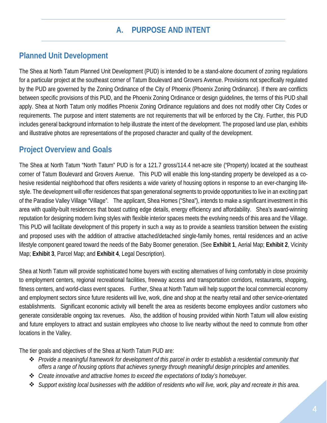# **A. PURPOSE AND INTENT**

#### **Planned Unit Development**

The Shea at North Tatum Planned Unit Development (PUD) is intended to be a stand-alone document of zoning regulations for a particular project at the southeast corner of Tatum Boulevard and Grovers Avenue. Provisions not specifically regulated by the PUD are governed by the Zoning Ordinance of the City of Phoenix (Phoenix Zoning Ordinance). If there are conflicts between specific provisions of this PUD, and the Phoenix Zoning Ordinance or design guidelines, the terms of this PUD shall apply. Shea at North Tatum only modifies Phoenix Zoning Ordinance regulations and does not modify other City Codes or requirements. The purpose and intent statements are not requirements that will be enforced by the City. Further, this PUD includes general background information to help illustrate the intent of the development. The proposed land use plan, exhibits and illustrative photos are representations of the proposed character and quality of the development.

#### **Project Overview and Goals**

The Shea at North Tatum "North Tatum" PUD is for a 121.7 gross/114.4 net-acre site ("Property) located at the southeast corner of Tatum Boulevard and Grovers Avenue. This PUD will enable this long-standing property be developed as a cohesive residential neighborhood that offers residents a wide variety of housing options in response to an ever-changing lifestyle. The development will offer residences that span generational segments to provide opportunities to live in an exciting part of the Paradise Valley Village "Village". The applicant, Shea Homes ("Shea"), intends to make a significant investment in this area with quality-built residences that boast cutting edge details, energy efficiency and affordability. Shea's award-winning reputation for designing modern living styles with flexible interior spaces meets the evolving needs of this area and the Village. This PUD will facilitate development of this property in such a way as to provide a seamless transition between the existing and proposed uses with the addition of attractive attached/detached single-family homes, rental residences and an active lifestyle component geared toward the needs of the Baby Boomer generation. (See **Exhibit 1**, Aerial Map; **Exhibit 2**, Vicinity Map; **Exhibit 3**, Parcel Map; and **Exhibit 4**, Legal Description).

Shea at North Tatum will provide sophisticated home buyers with exciting alternatives of living comfortably in close proximity to employment centers, regional recreational facilities, freeway access and transportation corridors, restaurants, shopping, fitness centers, and world-class event spaces. Further, Shea at North Tatum will help support the local commercial economy and employment sectors since future residents will live, work, dine and shop at the nearby retail and other service-orientated establishments. Significant economic activity will benefit the area as residents become employees and/or customers who generate considerable ongoing tax revenues. Also, the addition of housing provided within North Tatum will allow existing and future employers to attract and sustain employees who choose to live nearby without the need to commute from other locations in the Valley.

The tier goals and objectives of the Shea at North Tatum PUD are:

- *Provide a meaningful framework for development of this parcel in order to establish a residential community that offers a range of housing options that achieves synergy through meaningful design principles and amenities.*
- *Create innovative and attractive homes to exceed the expectations of today's homebuyer.*
- *Support existing local businesses with the addition of residents who will live, work, play and recreate in this area.*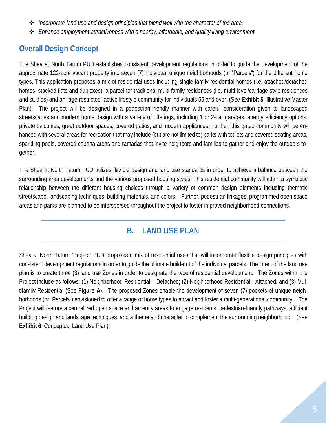- *Incorporate land use and design principles that blend well with the character of the area.*
- *Enhance employment attractiveness with a nearby, affordable, and quality living environment.*

# **Overall Design Concept**

The Shea at North Tatum PUD establishes consistent development regulations in order to guide the development of the approximate 122-acre vacant property into seven (7) individual unique neighborhoods (or "Parcels") for the different home types. This application proposes a mix of residential uses including single-family residential homes (i.e. attached/detached homes, stacked flats and duplexes), a parcel for traditional multi-family residences (i.e. multi-level/carriage-style residences and studios) and an "age-restricted" active lifestyle community for individuals 55 and over. (See **Exhibit 5**, Illustrative Master Plan). The project will be designed in a pedestrian-friendly manner with careful consideration given to landscaped streetscapes and modern home design with a variety of offerings, including 1 or 2-car garages, energy efficiency options, private balconies, great outdoor spaces, covered patios, and modern appliances. Further, this gated community will be enhanced with several areas for recreation that may include (but are not limited to) parks with tot lots and covered seating areas, sparkling pools, covered cabana areas and ramadas that invite neighbors and families to gather and enjoy the outdoors together.

The Shea at North Tatum PUD utilizes flexible design and land use standards in order to achieve a balance between the surrounding area developments and the various proposed housing styles. This residential community will attain a symbiotic relationship between the different housing choices through a variety of common design elements including thematic streetscape, landscaping techniques, building materials, and colors. Further, pedestrian linkages, programmed open space areas and parks are planned to be interspersed throughout the project to foster improved neighborhood connections.

#### **B. LAND USE PLAN**

Shea at North Tatum "Project" PUD proposes a mix of residential uses that will incorporate flexible design principles with consistent development regulations in order to guide the ultimate build-out of the individual parcels. The intent of the land use plan is to create three (3) land use Zones in order to designate the type of residential development. The Zones within the Project include as follows: (1) Neighborhood Residential – Detached; (2) Neighborhood Residential - Attached; and (3) Multifamily Residential (See **Figure A**). The proposed Zones enable the development of seven (7) pockets of unique neighborhoods (or "Parcels") envisioned to offer a range of home types to attract and foster a multi-generational community. The Project will feature a centralized open space and amenity areas to engage residents, pedestrian-friendly pathways, efficient building design and landscape techniques, and a theme and character to complement the surrounding neighborhood. (See **Exhibit 6**, Conceptual Land Use Plan):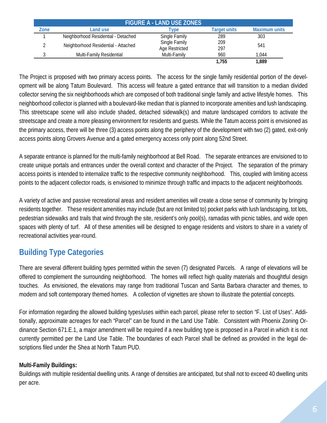| <b>FIGURE A - LAND USE ZONES</b> |                                     |                                 |              |                      |  |  |
|----------------------------------|-------------------------------------|---------------------------------|--------------|----------------------|--|--|
| Zone                             | Land use                            | <b>VDe</b>                      | Target units | <b>Maximum units</b> |  |  |
|                                  | Neighborhood Residential - Detached | Single Family                   | 289          | 303                  |  |  |
|                                  | Neighborhood Residential - Attached | Single Family<br>Age Restricted | 209<br>297   | 541                  |  |  |
|                                  | Multi-Family Residential            | Multi-Family                    | 960          | 1.044                |  |  |
|                                  |                                     |                                 | 1.755        | 1,889                |  |  |

The Project is proposed with two primary access points. The access for the single family residential portion of the development will be along Tatum Boulevard. This access will feature a gated entrance that will transition to a median divided collector serving the six neighborhoods which are composed of both traditional single family and active lifestyle homes. This neighborhood collector is planned with a boulevard-like median that is planned to incorporate amenities and lush landscaping. This streetscape scene will also include shaded, detached sidewalk(s) and mature landscaped corridors to activate the streetscape and create a more pleasing environment for residents and guests. While the Tatum access point is envisioned as the primary access, there will be three (3) access points along the periphery of the development with two (2) gated, exit-only access points along Grovers Avenue and a gated emergency access only point along 52nd Street.

A separate entrance is planned for the multi-family neighborhood at Bell Road. The separate entrances are envisioned to to create unique portals and entrances under the overall context and character of the Project. The separation of the primary access points is intended to internalize traffic to the respective community neighborhood. This, coupled with limiting access points to the adjacent collector roads, is envisioned to minimize through traffic and impacts to the adjacent neighborhoods.

A variety of active and passive recreational areas and resident amenities will create a close sense of community by bringing residents together. These resident amenities may include (but are not limited to) pocket parks with lush landscaping, tot lots, pedestrian sidewalks and trails that wind through the site, resident's only pool(s), ramadas with picnic tables, and wide open spaces with plenty of turf. All of these amenities will be designed to engage residents and visitors to share in a variety of recreational activities year-round.

# **Building Type Categories**

There are several different building types permitted within the seven (7) designated Parcels. A range of elevations will be offered to complement the surrounding neighborhood. The homes will reflect high quality materials and thoughtful design touches. As envisioned, the elevations may range from traditional Tuscan and Santa Barbara character and themes, to modern and soft contemporary themed homes. A collection of vignettes are shown to illustrate the potential concepts.

For information regarding the allowed building types/uses within each parcel, please refer to section "F. List of Uses". Additionally, approximate acreages for each "Parcel" can be found in the Land Use Table. Consistent with Phoenix Zoning Ordinance Section 671.E.1, a major amendment will be required if a new building type is proposed in a Parcel in which it is not currently permitted per the Land Use Table. The boundaries of each Parcel shall be defined as provided in the legal descriptions filed under the Shea at North Tatum PUD.

#### **Multi-Family Buildings:**

Buildings with multiple residential dwelling units. A range of densities are anticipated, but shall not to exceed 40 dwelling units per acre.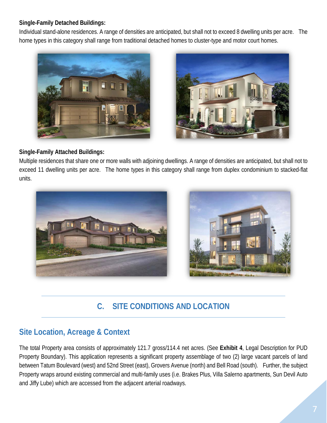#### **Single-Family Detached Buildings:**

Individual stand-alone residences. A range of densities are anticipated, but shall not to exceed 8 dwelling units per acre. The home types in this category shall range from traditional detached homes to cluster-type and motor court homes.





#### **Single-Family Attached Buildings:**

Multiple residences that share one or more walls with adjoining dwellings. A range of densities are anticipated, but shall not to exceed 11 dwelling units per acre. The home types in this category shall range from duplex condominium to stacked-flat units.



# **C. SITE CONDITIONS AND LOCATION**

#### **Site Location, Acreage & Context**

The total Property area consists of approximately 121.7 gross/114.4 net acres. (See **Exhibit 4**, Legal Description for PUD Property Boundary). This application represents a significant property assemblage of two (2) large vacant parcels of land between Tatum Boulevard (west) and 52nd Street (east), Grovers Avenue (north) and Bell Road (south). Further, the subject Property wraps around existing commercial and multi-family uses (i.e. Brakes Plus, Villa Salerno apartments, Sun Devil Auto and Jiffy Lube) which are accessed from the adjacent arterial roadways.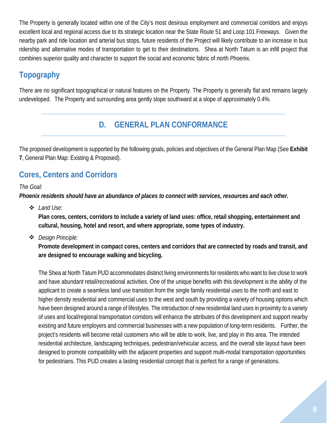The Property is generally located within one of the City's most desirous employment and commercial corridors and enjoys excellent local and regional access due to its strategic location near the State Route 51 and Loop 101 Freeways. Given the nearby park and ride location and arterial bus stops, future residents of the Project will likely contribute to an increase in bus ridership and alternative modes of transportation to get to their destinations. Shea at North Tatum is an infill project that combines superior quality and character to support the social and economic fabric of north Phoenix.

# **Topography**

There are no significant topographical or natural features on the Property. The Property is generally flat and remains largely undeveloped. The Property and surrounding area gently slope southward at a slope of approximately 0.4%.

#### **D. GENERAL PLAN CONFORMANCE**

The proposed development is supported by the following goals, policies and objectives of the General Plan Map (See **Exhibit 7**, General Plan Map: Existing & Proposed).

# **Cores, Centers and Corridors**

#### *The Goal:*

*Phoenix residents should have an abundance of places to connect with services, resources and each other.* 

*Land Use:*

**Plan cores, centers, corridors to include a variety of land uses: office, retail shopping, entertainment and cultural, housing, hotel and resort, and where appropriate, some types of industry.**

*Design Principle:*

**Promote development in compact cores, centers and corridors that are connected by roads and transit, and are designed to encourage walking and bicycling.**

The Shea at North Tatum PUD accommodates distinct living environments for residents who want to live close to work and have abundant retail/recreational activities. One of the unique benefits with this development is the ability of the applicant to create a seamless land use transition from the single family residential uses to the north and east to higher density residential and commercial uses to the west and south by providing a variety of housing options which have been designed around a range of lifestyles. The introduction of new residential land uses in proximity to a variety of uses and local/regional transportation corridors will enhance the attributes of this development and support nearby existing and future employers and commercial businesses with a new population of long-term residents. Further, the project's residents will become retail customers who will be able to work, live, and play in this area. The intended residential architecture, landscaping techniques, pedestrian/vehicular access, and the overall site layout have been designed to promote compatibility with the adjacent properties and support multi-modal transportation opportunities for pedestrians. This PUD creates a lasting residential concept that is perfect for a range of generations.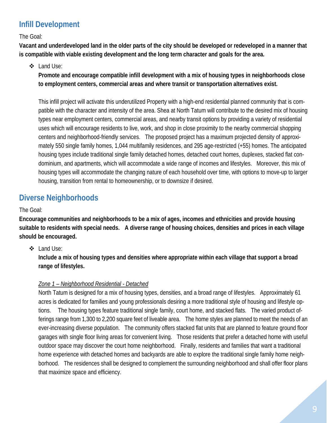# **Infill Development**

The Goal:

**Vacant and underdeveloped land in the older parts of the city should be developed or redeveloped in a manner that is compatible with viable existing development and the long term character and goals for the area.**

#### Land Use:

**Promote and encourage compatible infill development with a mix of housing types in neighborhoods close to employment centers, commercial areas and where transit or transportation alternatives exist.**

This infill project will activate this underutilized Property with a high-end residential planned community that is compatible with the character and intensity of the area. Shea at North Tatum will contribute to the desired mix of housing types near employment centers, commercial areas, and nearby transit options by providing a variety of residential uses which will encourage residents to live, work, and shop in close proximity to the nearby commercial shopping centers and neighborhood-friendly services. The proposed project has a maximum projected density of approximately 550 single family homes, 1,044 multifamily residences, and 295 age-restricted (+55) homes. The anticipated housing types include traditional single family detached homes, detached court homes, duplexes, stacked flat condominium, and apartments, which will accommodate a wide range of incomes and lifestyles. Moreover, this mix of housing types will accommodate the changing nature of each household over time, with options to move-up to larger housing, transition from rental to homeownership, or to downsize if desired.

# **Diverse Neighborhoods**

The Goal:

**Encourage communities and neighborhoods to be a mix of ages, incomes and ethnicities and provide housing suitable to residents with special needs. A diverse range of housing choices, densities and prices in each village should be encouraged.**

#### Land Use:

**Include a mix of housing types and densities where appropriate within each village that support a broad range of lifestyles.**

#### *Zone 1 – Neighborhood Residential - Detached*

North Tatum is designed for a mix of housing types, densities, and a broad range of lifestyles. Approximately 61 acres is dedicated for families and young professionals desiring a more traditional style of housing and lifestyle options. The housing types feature traditional single family, court home, and stacked flats. The varied product offerings range from 1,300 to 2,200 square feet of liveable area. The home styles are planned to meet the needs of an ever-increasing diverse population. The community offers stacked flat units that are planned to feature ground floor garages with single floor living areas for convenient living. Those residents that prefer a detached home with useful outdoor space may discover the court home neighborhood. Finally, residents and families that want a traditional home experience with detached homes and backyards are able to explore the traditional single family home neighborhood. The residences shall be designed to complement the surrounding neighborhood and shall offer floor plans that maximize space and efficiency.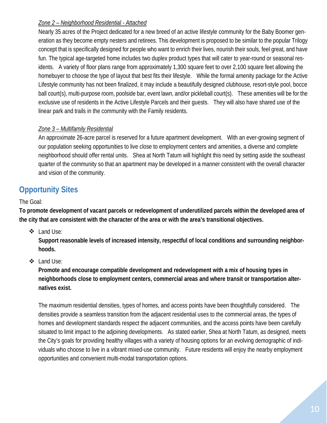#### *Zone 2 – Neighborhood Residential - Attached*

Nearly 35 acres of the Project dedicated for a new breed of an active lifestyle community for the Baby Boomer generation as they become empty nesters and retirees. This development is proposed to be similar to the popular Trilogy concept that is specifically designed for people who want to enrich their lives, nourish their souls, feel great, and have fun. The typical age-targeted home includes two duplex product types that will cater to year-round or seasonal residents. A variety of floor plans range from approximately 1,300 square feet to over 2,100 square feet allowing the homebuyer to choose the type of layout that best fits their lifestyle. While the formal amenity package for the Active Lifestyle community has not been finalized, it may include a beautifully designed clubhouse, resort-style pool, bocce ball court(s), multi-purpose room, poolside bar, event lawn, and/or pickleball court(s). These amenities will be for the exclusive use of residents in the Active Lifestyle Parcels and their guests. They will also have shared use of the linear park and trails in the community with the Family residents.

#### *Zone 3 – Multifamily Residential*

An approximate 26-acre parcel is reserved for a future apartment development. With an ever-growing segment of our population seeking opportunities to live close to employment centers and amenities, a diverse and complete neighborhood should offer rental units. Shea at North Tatum will highlight this need by setting aside the southeast quarter of the community so that an apartment may be developed in a manner consistent with the overall character and vision of the community.

# **Opportunity Sites**

#### The Goal:

**To promote development of vacant parcels or redevelopment of underutilized parcels within the developed area of the city that are consistent with the character of the area or with the area's transitional objectives.**

Land Use:

**Support reasonable levels of increased intensity, respectful of local conditions and surrounding neighborhoods.**

Land Use:

**Promote and encourage compatible development and redevelopment with a mix of housing types in neighborhoods close to employment centers, commercial areas and where transit or transportation alternatives exist.**

The maximum residential densities, types of homes, and access points have been thoughtfully considered. The densities provide a seamless transition from the adjacent residential uses to the commercial areas, the types of homes and development standards respect the adjacent communities, and the access points have been carefully situated to limit impact to the adjoining developments. As stated earlier, Shea at North Tatum, as designed, meets the City's goals for providing healthy villages with a variety of housing options for an evolving demographic of individuals who choose to live in a vibrant mixed-use community. Future residents will enjoy the nearby employment opportunities and convenient multi-modal transportation options.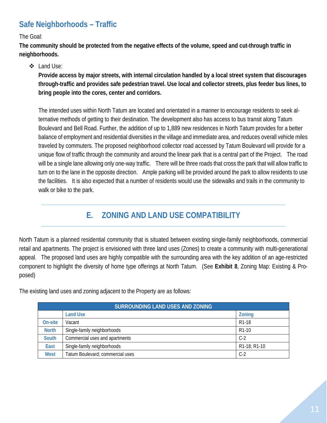# **Safe Neighborhoods – Traffic**

The Goal:

**The community should be protected from the negative effects of the volume, speed and cut-through traffic in neighborhoods.**

#### Land Use:

**Provide access by major streets, with internal circulation handled by a local street system that discourages through-traffic and provides safe pedestrian travel. Use local and collector streets, plus feeder bus lines, to bring people into the cores, center and corridors.**

The intended uses within North Tatum are located and orientated in a manner to encourage residents to seek alternative methods of getting to their destination. The development also has access to bus transit along Tatum Boulevard and Bell Road. Further, the addition of up to 1,889 new residences in North Tatum provides for a better balance of employment and residential diversities in the village and immediate area, and reduces overall vehicle miles traveled by commuters. The proposed neighborhood collector road accessed by Tatum Boulevard will provide for a unique flow of traffic through the community and around the linear park that is a central part of the Project. The road will be a single lane allowing only one-way traffic. There will be three roads that cross the park that will allow traffic to turn on to the lane in the opposite direction. Ample parking will be provided around the park to allow residents to use the facilities. It is also expected that a number of residents would use the sidewalks and trails in the community to walk or bike to the park.

# **E. ZONING AND LAND USE COMPATIBILITY**

North Tatum is a planned residential community that is situated between existing single-family neighborhoods, commercial retail and apartments. The project is envisioned with three land uses (Zones) to create a community with multi-generational appeal. The proposed land uses are highly compatible with the surrounding area with the key addition of an age-restricted component to highlight the diversity of home type offerings at North Tatum. (See **Exhibit 8**, Zoning Map: Existing & Proposed)

The existing land uses and zoning adjacent to the Property are as follows:

| SURROUNDING LAND USES AND ZONING |                                  |                                        |  |  |
|----------------------------------|----------------------------------|----------------------------------------|--|--|
|                                  | <b>Land Use</b>                  | <b>Zoning</b>                          |  |  |
| On-site                          | Vacant                           | R <sub>1</sub> -18                     |  |  |
| <b>North</b>                     | Single-family neighborhoods      | R <sub>1</sub> -10                     |  |  |
| <b>South</b>                     | Commercial uses and apartments   | $C-2$                                  |  |  |
| East                             | Single-family neighborhoods      | R <sub>1</sub> -18; R <sub>1</sub> -10 |  |  |
| West                             | Tatum Boulevard; commercial uses | $C-2$                                  |  |  |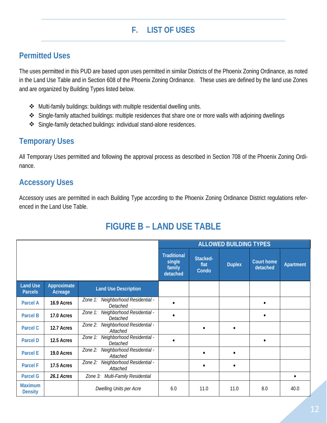# **F. LIST OF USES**

#### **Permitted Uses**

The uses permitted in this PUD are based upon uses permitted in similar Districts of the Phoenix Zoning Ordinance, as noted in the Land Use Table and in Section 608 of the Phoenix Zoning Ordinance. These uses are defined by the land use Zones and are organized by Building Types listed below.

- Multi-family buildings: buildings with multiple residential dwelling units.
- Single-family attached buildings: multiple residences that share one or more walls with adjoining dwellings
- Single-family detached buildings: individual stand-alone residences.

#### **Temporary Uses**

All Temporary Uses permitted and following the approval process as described in Section 708 of the Phoenix Zoning Ordinance.

#### **Accessory Uses**

Accessory uses are permitted in each Building Type according to the Phoenix Zoning Ordinance District regulations referenced in the Land Use Table.

# **FIGURE B – LAND USE TABLE**

|                                   |                        |                                                   | <b>ALLOWED BUILDING TYPES</b>                      |                           |               |                               |           |
|-----------------------------------|------------------------|---------------------------------------------------|----------------------------------------------------|---------------------------|---------------|-------------------------------|-----------|
|                                   |                        |                                                   | <b>Traditional</b><br>single<br>family<br>detached | Stacked-<br>flat<br>Condo | <b>Duplex</b> | <b>Court home</b><br>detached | Apartment |
| <b>Land Use</b><br><b>Parcels</b> | Approximate<br>Acreage | <b>Land Use Description</b>                       |                                                    |                           |               |                               |           |
| <b>Parcel A</b>                   | 16.9 Acres             | Zone 1: Neighborhood Residential -<br>Detached    |                                                    |                           |               |                               |           |
| <b>Parcel B</b>                   | 17.0 Acres             | Zone 1: Neighborhood Residential -<br>Detached    |                                                    |                           |               |                               |           |
| Parcel C                          | 12.7 Acres             | Zone 2: Neighborhood Residential -<br>Attached    |                                                    | $\bullet$                 |               |                               |           |
| <b>Parcel D</b>                   | 12.5 Acres             | Zone 1: Neighborhood Residential -<br>Detached    |                                                    |                           |               |                               |           |
| <b>Parcel E</b>                   | 19.0 Acres             | Neighborhood Residential -<br>Zone 2:<br>Attached |                                                    | $\bullet$                 |               |                               |           |
| <b>Parcel F</b>                   | 17.5 Acres             | Zone 2: Neighborhood Residential -<br>Attached    |                                                    | $\bullet$                 | ٠             |                               |           |
| <b>Parcel G</b>                   | 26.1 Acres             | Multi-Family Residential<br>Zone 3:               |                                                    |                           |               |                               | $\bullet$ |
| <b>Maximum</b><br><b>Density</b>  |                        | Dwelling Units per Acre                           | 6.0                                                | 11.0                      | 11.0          | 8.0                           | 40.0      |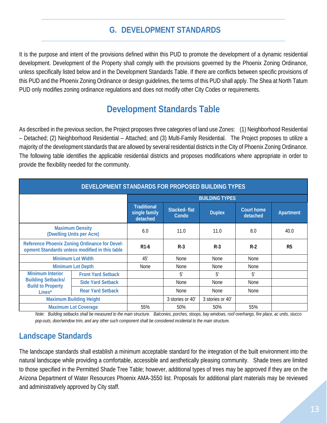#### **G. DEVELOPMENT STANDARDS**

It is the purpose and intent of the provisions defined within this PUD to promote the development of a dynamic residential development. Development of the Property shall comply with the provisions governed by the Phoenix Zoning Ordinance, unless specifically listed below and in the Development Standards Table. If there are conflicts between specific provisions of this PUD and the Phoenix Zoning Ordinance or design guidelines, the terms of this PUD shall apply. The Shea at North Tatum PUD only modifies zoning ordinance regulations and does not modify other City Codes or requirements.

# **Development Standards Table**

As described in the previous section, the Project proposes three categories of land use Zones: (1) Neighborhood Residential – Detached; (2) Neighborhood Residential – Attached; and (3) Multi-Family Residential. The Project proposes to utilize a majority of the development standards that are allowed by several residential districts in the City of Phoenix Zoning Ordinance. The following table identifies the applicable residential districts and proposes modifications where appropriate in order to provide the flexibility needed for the community.

| DEVELOPMENT STANDARDS FOR PROPOSED BUILDING TYPES                                               |                           |                                                 |                       |                  |                               |                |
|-------------------------------------------------------------------------------------------------|---------------------------|-------------------------------------------------|-----------------------|------------------|-------------------------------|----------------|
| <b>BUILDING TYPES</b>                                                                           |                           |                                                 |                       |                  |                               |                |
|                                                                                                 |                           | <b>Traditional</b><br>single family<br>detached | Stacked-flat<br>Condo | <b>Duplex</b>    | <b>Court home</b><br>detached | Apartment      |
| <b>Maximum Density</b><br>(Dwelling Units per Acre)                                             |                           | 6.0                                             | 11.0                  | 11.0             | 8.0                           | 40.0           |
| Reference Phoenix Zoning Ordinance for Devel-<br>opment Standards unless modified in this table |                           | R <sub>1</sub> -6                               | $R-3$                 | $R-3$            | $R-2$                         | R <sub>5</sub> |
| <b>Minimum Lot Width</b>                                                                        |                           | 45'                                             | None                  | <b>None</b>      | None                          |                |
| <b>Minimum Lot Depth</b>                                                                        |                           | <b>None</b>                                     | None                  | <b>None</b>      | None                          |                |
| <b>Minimum Interior</b>                                                                         | <b>Front Yard Setback</b> |                                                 | 5'                    | 5'               | 5'                            |                |
| <b>Building Setbacks/</b><br><b>Build to Property</b>                                           | <b>Side Yard Setback</b>  |                                                 | None                  | <b>None</b>      | None                          |                |
| Lines*                                                                                          | <b>Rear Yard Setback</b>  |                                                 | None                  | None             | None                          |                |
| <b>Maximum Building Height</b>                                                                  |                           |                                                 | 3 stories or 40'      | 3 stories or 40' |                               |                |
| <b>Maximum Lot Coverage</b>                                                                     |                           | 55%                                             | 50%                   | 50%              | 55%                           |                |

*Note: Building setbacks shall be measured to the main structure. Balconies, porches, stoops, bay windows, roof overhangs, fire place, ac units, stucco pop-outs, door/window trim, and any other such component shall be considered incidental to the main structure.*

#### **Landscape Standards**

The landscape standards shall establish a minimum acceptable standard for the integration of the built environment into the natural landscape while providing a comfortable, accessible and aesthetically pleasing community. Shade trees are limited to those specified in the Permitted Shade Tree Table; however, additional types of trees may be approved if they are on the Arizona Department of Water Resources Phoenix AMA-3550 list. Proposals for additional plant materials may be reviewed and administratively approved by City staff.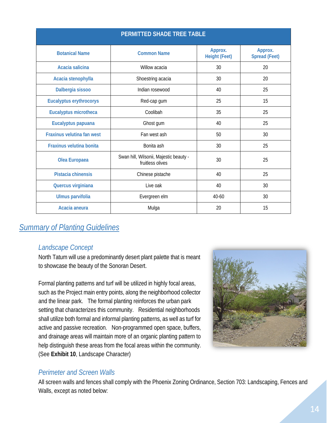| PERMITTED SHADE TREE TABLE      |                                                            |                                 |                                 |  |  |
|---------------------------------|------------------------------------------------------------|---------------------------------|---------------------------------|--|--|
| <b>Botanical Name</b>           | <b>Common Name</b>                                         | Approx.<br><b>Height (Feet)</b> | Approx.<br><b>Spread (Feet)</b> |  |  |
| Acacia salicina                 | Willow acacia                                              | 30                              | 20                              |  |  |
| Acacia stenophylla              | Shoestring acacia                                          | 30                              | 20                              |  |  |
| Dalbergia sissoo                | Indian rosewood                                            | 40                              | 25                              |  |  |
| <b>Eucalyptus erythrocorys</b>  | Red-cap gum                                                | 25                              | 15                              |  |  |
| <b>Eucalyptus microtheca</b>    | Coolibah                                                   | 35                              | 25                              |  |  |
| Eucalyptus papuana              | Ghost gum                                                  | 40                              | 25                              |  |  |
| Fraxinus velutina fan west      | Fan west ash                                               | 50                              | 30                              |  |  |
| <b>Fraxinus velutina bonita</b> | Bonita ash                                                 | 30                              | 25                              |  |  |
| Olea Europaea                   | Swan hill, Wilsonii, Majestic beauty -<br>fruitless olives | 30                              | 25                              |  |  |
| Pistacia chinensis              | Chinese pistache                                           | 40                              | 25                              |  |  |
| Quercus virginiana              | Live oak                                                   | 40                              | 30                              |  |  |
| Ulmus parvifolia                | Evergreen elm                                              | $40 - 60$                       | 30                              |  |  |
| Acacia aneura                   | Mulga                                                      | 20                              | 15                              |  |  |

#### *Summary of Planting Guidelines*

#### *Landscape Concept*

North Tatum will use a predominantly desert plant palette that is meant to showcase the beauty of the Sonoran Desert.

Formal planting patterns and turf will be utilized in highly focal areas, such as the Project main entry points, along the neighborhood collector and the linear park. The formal planting reinforces the urban park setting that characterizes this community. Residential neighborhoods shall utilize both formal and informal planting patterns, as well as turf for active and passive recreation. Non-programmed open space, buffers, and drainage areas will maintain more of an organic planting pattern to help distinguish these areas from the focal areas within the community. (See **Exhibit 10**, Landscape Character)



#### *Perimeter and Screen Walls*

All screen walls and fences shall comply with the Phoenix Zoning Ordinance, Section 703: Landscaping, Fences and Walls, except as noted below: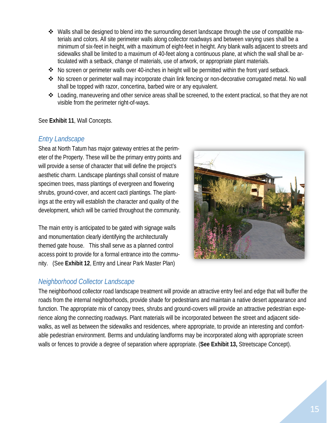- $\clubsuit$  Walls shall be designed to blend into the surrounding desert landscape through the use of compatible materials and colors. All site perimeter walls along collector roadways and between varying uses shall be a minimum of six-feet in height, with a maximum of eight-feet in height. Any blank walls adjacent to streets and sidewalks shall be limited to a maximum of 40-feet along a continuous plane, at which the wall shall be articulated with a setback, change of materials, use of artwork, or appropriate plant materials.
- No screen or perimeter walls over 40-inches in height will be permitted within the front yard setback.
- No screen or perimeter wall may incorporate chain link fencing or non-decorative corrugated metal. No wall shall be topped with razor, concertina, barbed wire or any equivalent.
- Loading, maneuvering and other service areas shall be screened, to the extent practical, so that they are not visible from the perimeter right-of-ways.

#### See **Exhibit 11**, Wall Concepts.

#### *Entry Landscape*

Shea at North Tatum has major gateway entries at the perimeter of the Property. These will be the primary entry points and will provide a sense of character that will define the project's aesthetic charm. Landscape plantings shall consist of mature specimen trees, mass plantings of evergreen and flowering shrubs, ground-cover, and accent cacti plantings. The plantings at the entry will establish the character and quality of the development, which will be carried throughout the community.

The main entry is anticipated to be gated with signage walls and monumentation clearly identifying the architecturally themed gate house. This shall serve as a planned control access point to provide for a formal entrance into the community. (See **Exhibit 12**, Entry and Linear Park Master Plan)

#### *Neighborhood Collector Landscape*



The neighborhood collector road landscape treatment will provide an attractive entry feel and edge that will buffer the roads from the internal neighborhoods, provide shade for pedestrians and maintain a native desert appearance and function. The appropriate mix of canopy trees, shrubs and ground-covers will provide an attractive pedestrian experience along the connecting roadways. Plant materials will be incorporated between the street and adjacent sidewalks, as well as between the sidewalks and residences, where appropriate, to provide an interesting and comfortable pedestrian environment. Berms and undulating landforms may be incorporated along with appropriate screen walls or fences to provide a degree of separation where appropriate. (**See Exhibit 13,** Streetscape Concept).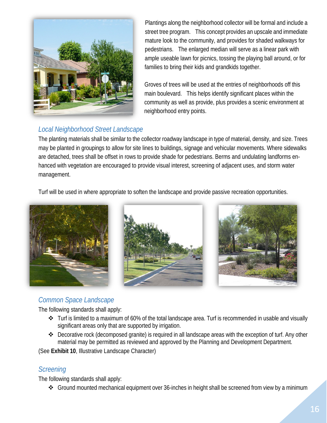

Plantings along the neighborhood collector will be formal and include a street tree program. This concept provides an upscale and immediate mature look to the community, and provides for shaded walkways for pedestrians. The enlarged median will serve as a linear park with ample useable lawn for picnics, tossing the playing ball around, or for families to bring their kids and grandkids together.

Groves of trees will be used at the entries of neighborhoods off this main boulevard. This helps identify significant places within the community as well as provide, plus provides a scenic environment at neighborhood entry points.

#### *Local Neighborhood Street Landscape*

The planting materials shall be similar to the collector roadway landscape in type of material, density, and size. Trees may be planted in groupings to allow for site lines to buildings, signage and vehicular movements. Where sidewalks are detached, trees shall be offset in rows to provide shade for pedestrians. Berms and undulating landforms enhanced with vegetation are encouraged to provide visual interest, screening of adjacent uses, and storm water management.

Turf will be used in where appropriate to soften the landscape and provide passive recreation opportunities.



#### *Common Space Landscape*

The following standards shall apply:

- Turf is limited to a maximum of 60% of the total landscape area. Turf is recommended in usable and visually significant areas only that are supported by irrigation.
- Decorative rock (decomposed granite) is required in all landscape areas with the exception of turf. Any other material may be permitted as reviewed and approved by the Planning and Development Department.

(See **Exhibit 10**, Illustrative Landscape Character)

#### *Screening*

The following standards shall apply:

Ground mounted mechanical equipment over 36-inches in height shall be screened from view by a minimum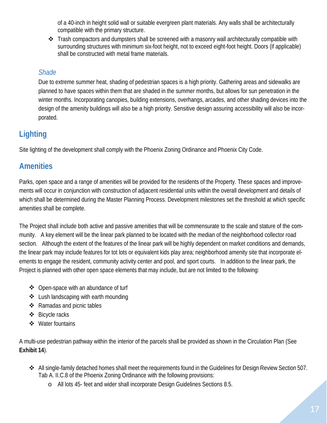of a 40-inch in height solid wall or suitable evergreen plant materials. Any walls shall be architecturally compatible with the primary structure.

\* Trash compactors and dumpsters shall be screened with a masonry wall architecturally compatible with surrounding structures with minimum six-foot height, not to exceed eight-foot height. Doors (if applicable) shall be constructed with metal frame materials.

#### *Shade*

Due to extreme summer heat, shading of pedestrian spaces is a high priority. Gathering areas and sidewalks are planned to have spaces within them that are shaded in the summer months, but allows for sun penetration in the winter months. Incorporating canopies, building extensions, overhangs, arcades, and other shading devices into the design of the amenity buildings will also be a high priority. Sensitive design assuring accessibility will also be incorporated.

# **Lighting**

Site lighting of the development shall comply with the Phoenix Zoning Ordinance and Phoenix City Code.

# **Amenities**

Parks, open space and a range of amenities will be provided for the residents of the Property. These spaces and improvements will occur in conjunction with construction of adjacent residential units within the overall development and details of which shall be determined during the Master Planning Process. Development milestones set the threshold at which specific amenities shall be complete.

The Project shall include both active and passive amenities that will be commensurate to the scale and stature of the community. A key element will be the linear park planned to be located with the median of the neighborhood collector road section. Although the extent of the features of the linear park will be highly dependent on market conditions and demands, the linear park may include features for tot lots or equivalent kids play area; neighborhood amenity site that incorporate elements to engage the resident, community activity center and pool, and sport courts. In addition to the linear park, the Project is planned with other open space elements that may include, but are not limited to the following:

- ❖ Open-space with an abundance of turf
- ❖ Lush landscaping with earth mounding
- $\triangleleft$  Ramadas and picnic tables
- Bicycle racks
- ❖ Water fountains

A multi-use pedestrian pathway within the interior of the parcels shall be provided as shown in the Circulation Plan (See **Exhibit 14**).

- All single-family detached homes shall meet the requirements found in the Guidelines for Design Review Section 507. Tab A. II.C.8 of the Phoenix Zoning Ordinance with the following provisions:
	- o All lots 45- feet and wider shall incorporate Design Guidelines Sections 8.5.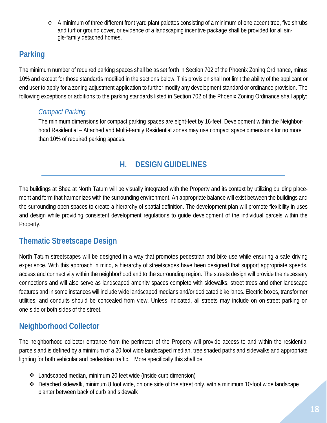o A minimum of three different front yard plant palettes consisting of a minimum of one accent tree, five shrubs and turf or ground cover, or evidence of a landscaping incentive package shall be provided for all single-family detached homes.

# **Parking**

The minimum number of required parking spaces shall be as set forth in Section 702 of the Phoenix Zoning Ordinance, minus 10% and except for those standards modified in the sections below. This provision shall not limit the ability of the applicant or end user to apply for a zoning adjustment application to further modify any development standard or ordinance provision. The following exceptions or additions to the parking standards listed in Section 702 of the Phoenix Zoning Ordinance shall apply:

#### *Compact Parking*

The minimum dimensions for compact parking spaces are eight-feet by 16-feet. Development within the Neighborhood Residential – Attached and Multi-Family Residential zones may use compact space dimensions for no more than 10% of required parking spaces.

# **H. DESIGN GUIDELINES**

The buildings at Shea at North Tatum will be visually integrated with the Property and its context by utilizing building placement and form that harmonizes with the surrounding environment. An appropriate balance will exist between the buildings and the surrounding open spaces to create a hierarchy of spatial definition. The development plan will promote flexibility in uses and design while providing consistent development regulations to guide development of the individual parcels within the Property.

#### **Thematic Streetscape Design**

North Tatum streetscapes will be designed in a way that promotes pedestrian and bike use while ensuring a safe driving experience. With this approach in mind, a hierarchy of streetscapes have been designed that support appropriate speeds, access and connectivity within the neighborhood and to the surrounding region. The streets design will provide the necessary connections and will also serve as landscaped amenity spaces complete with sidewalks, street trees and other landscape features and in some instances will include wide landscaped medians and/or dedicated bike lanes. Electric boxes, transformer utilities, and conduits should be concealed from view. Unless indicated, all streets may include on on-street parking on one-side or both sides of the street.

#### **Neighborhood Collector**

The neighborhood collector entrance from the perimeter of the Property will provide access to and within the residential parcels and is defined by a minimum of a 20 foot wide landscaped median, tree shaded paths and sidewalks and appropriate lighting for both vehicular and pedestrian traffic. More specifically this shall be:

- Landscaped median, minimum 20 feet wide (inside curb dimension)
- Detached sidewalk, minimum 8 foot wide, on one side of the street only, with a minimum 10-foot wide landscape planter between back of curb and sidewalk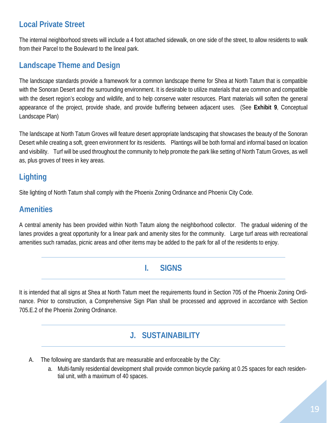# **Local Private Street**

The internal neighborhood streets will include a 4 foot attached sidewalk, on one side of the street, to allow residents to walk from their Parcel to the Boulevard to the lineal park.

#### **Landscape Theme and Design**

The landscape standards provide a framework for a common landscape theme for Shea at North Tatum that is compatible with the Sonoran Desert and the surrounding environment. It is desirable to utilize materials that are common and compatible with the desert region's ecology and wildlife, and to help conserve water resources. Plant materials will soften the general appearance of the project, provide shade, and provide buffering between adjacent uses. (See **Exhibit 9**, Conceptual Landscape Plan)

The landscape at North Tatum Groves will feature desert appropriate landscaping that showcases the beauty of the Sonoran Desert while creating a soft, green environment for its residents. Plantings will be both formal and informal based on location and visibility. Turf will be used throughout the community to help promote the park like setting of North Tatum Groves, as well as, plus groves of trees in key areas.

# **Lighting**

Site lighting of North Tatum shall comply with the Phoenix Zoning Ordinance and Phoenix City Code.

#### **Amenities**

A central amenity has been provided within North Tatum along the neighborhood collector. The gradual widening of the lanes provides a great opportunity for a linear park and amenity sites for the community. Large turf areas with recreational amenities such ramadas, picnic areas and other items may be added to the park for all of the residents to enjoy.

#### **I. SIGNS**

It is intended that all signs at Shea at North Tatum meet the requirements found in Section 705 of the Phoenix Zoning Ordinance. Prior to construction, a Comprehensive Sign Plan shall be processed and approved in accordance with Section 705.E.2 of the Phoenix Zoning Ordinance.

#### **J. SUSTAINABILITY**

- A. The following are standards that are measurable and enforceable by the City:
	- a. Multi-family residential development shall provide common bicycle parking at 0.25 spaces for each residential unit, with a maximum of 40 spaces.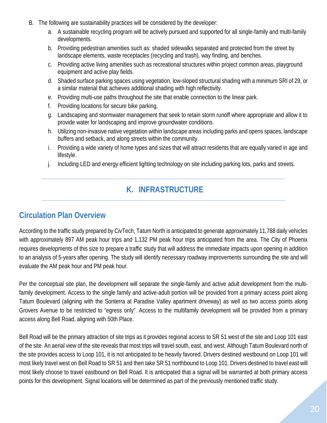- B. The following are sustainability practices will be considered by the developer:
	- a. A sustainable recycling program will be actively pursued and supported for all single-family and multi-family developments.
	- b. Providing pedestrian amenities such as: shaded sidewalks separated and protected from the street by landscape elements, waste receptacles (recycling and trash), way finding, and benches.
	- c. Providing active living amenities such as recreational structures within project common areas, playground equipment and active play fields.
	- d. Shaded surface parking spaces using vegetation, low-sloped structural shading with a minimum SRI of 29, or a similar material that achieves additional shading with high reflectivity.
	- e. Providing multi-use paths throughout the site that enable connection to the linear park.
	- f. Providing locations for secure bike parking.
	- g. Landscaping and stormwater management that seek to retain storm runoff where appropriate and allow it to provide water for landscaping and improve groundwater conditions.
	- h. Utilizing non-invasive native vegetation within landscape areas including parks and opens spaces, landscape buffers and setback, and along streets within the community.
	- i. Providing a wide variety of home types and sizes that will attract residents that are equally varied in age and lifestyle.
	- j. Including LED and energy efficient lighting technology on site including parking lots, parks and streets.

# **K. INFRASTRUCTURE**

#### **Circulation Plan Overview**

According to the traffic study prepared by CivTech, Tatum North is anticipated to generate approximately 11,788 daily vehicles with approximately 897 AM peak hour trips and 1,132 PM peak hour trips anticipated from the area. The City of Phoenix requires developments of this size to prepare a traffic study that will address the immediate impacts upon opening in addition to an analysis of 5-years after opening. The study will identify necessary roadway improvements surrounding the site and will evaluate the AM peak hour and PM peak hour.

Per the conceptual site plan, the development will separate the single-family and active adult development from the multifamily development. Access to the single family and active-adult portion will be provided from a primary access point along Tatum Boulevard (aligning with the Sonterra at Paradise Valley apartment driveway) as well as two access points along Grovers Avenue to be restricted to "egress only". Access to the multifamily development will be provided from a primary access along Bell Road, aligning with 50th Place.

Bell Road will be the primary attraction of site trips as it provides regional access to SR 51 west of the site and Loop 101 east of the site. An aerial view of the site reveals that most trips will travel south, east, and west. Although Tatum Boulevard north of the site provides access to Loop 101, it is not anticipated to be heavily favored. Drivers destined westbound on Loop 101 will most likely travel west on Bell Road to SR 51 and then take SR 51 northbound to Loop 101. Drivers destined to travel east will most likely choose to travel eastbound on Bell Road. It is anticipated that a signal will be warranted at both primary access points for this development. Signal locations will be determined as part of the previously mentioned traffic study.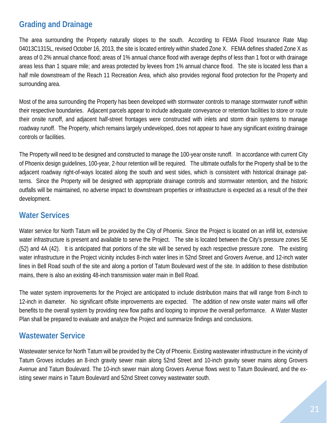#### **Grading and Drainage**

The area surrounding the Property naturally slopes to the south. According to FEMA Flood Insurance Rate Map 04013C1315L, revised October 16, 2013, the site is located entirely within shaded Zone X. FEMA defines shaded Zone X as areas of 0.2% annual chance flood; areas of 1% annual chance flood with average depths of less than 1 foot or with drainage areas less than 1 square mile; and areas protected by levees from 1% annual chance flood. The site is located less than a half mile downstream of the Reach 11 Recreation Area, which also provides regional flood protection for the Property and surrounding area.

Most of the area surrounding the Property has been developed with stormwater controls to manage stormwater runoff within their respective boundaries. Adjacent parcels appear to include adequate conveyance or retention facilities to store or route their onsite runoff, and adjacent half-street frontages were constructed with inlets and storm drain systems to manage roadway runoff. The Property, which remains largely undeveloped, does not appear to have any significant existing drainage controls or facilities.

The Property will need to be designed and constructed to manage the 100-year onsite runoff. In accordance with current City of Phoenix design guidelines, 100-year, 2-hour retention will be required. The ultimate outfalls for the Property shall be to the adjacent roadway right-of-ways located along the south and west sides, which is consistent with historical drainage patterns. Since the Property will be designed with appropriate drainage controls and stormwater retention, and the historic outfalls will be maintained, no adverse impact to downstream properties or infrastructure is expected as a result of the their development.

#### **Water Services**

Water service for North Tatum will be provided by the City of Phoenix. Since the Project is located on an infill lot, extensive water infrastructure is present and available to serve the Project. The site is located between the City's pressure zones 5E (52) and 4A (42). It is anticipated that portions of the site will be served by each respective pressure zone. The existing water infrastructure in the Project vicinity includes 8-inch water lines in 52nd Street and Grovers Avenue, and 12-inch water lines in Bell Road south of the site and along a portion of Tatum Boulevard west of the site. In addition to these distribution mains, there is also an existing 48-inch transmission water main in Bell Road.

The water system improvements for the Project are anticipated to include distribution mains that will range from 8-inch to 12-inch in diameter. No significant offsite improvements are expected. The addition of new onsite water mains will offer benefits to the overall system by providing new flow paths and looping to improve the overall performance. A Water Master Plan shall be prepared to evaluate and analyze the Project and summarize findings and conclusions.

#### **Wastewater Service**

Wastewater service for North Tatum will be provided by the City of Phoenix. Existing wastewater infrastructure in the vicinity of Tatum Groves includes an 8-inch gravity sewer main along 52nd Street and 10-inch gravity sewer mains along Grovers Avenue and Tatum Boulevard. The 10-inch sewer main along Grovers Avenue flows west to Tatum Boulevard, and the existing sewer mains in Tatum Boulevard and 52nd Street convey wastewater south.